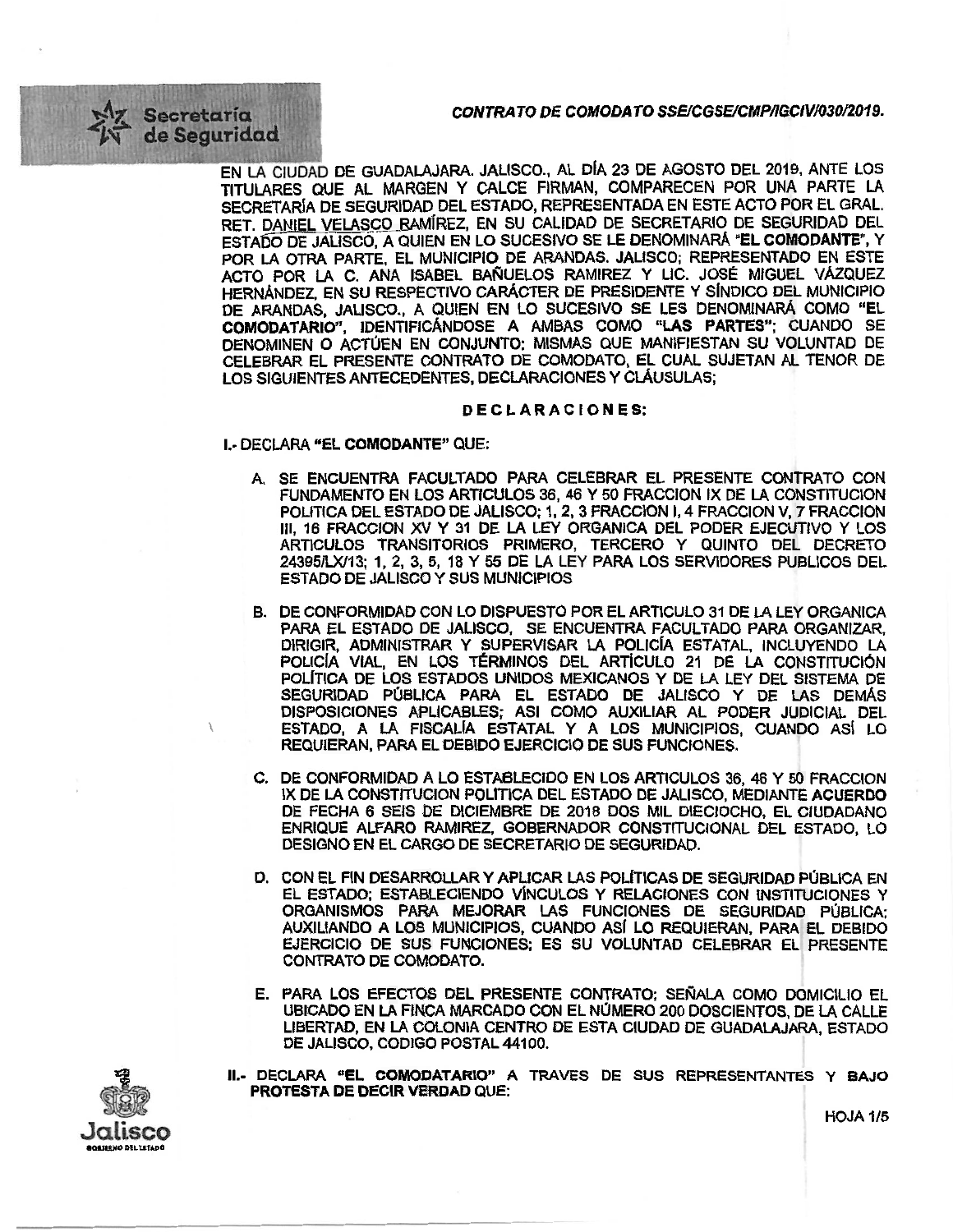CONTRATO DE COMODATO SSE/CGSE/CMP/IGCIV/030/2019.

Secretaria de Seguridad

> EN LA CIUDAD DE GUADALAJARA. JALISCO., AL DÍA 23 DE AGOSTO DEL 2019, ANTE LOS TITULARES QUE AL MARGEN Y CALCE FIRMAN, COMPARECEN POR UNA PARTE LA SECRETARÍA DE SEGURIDAD DEL ESTADO, REPRESENTADA EN ESTE ACTO POR EL GRAL. RET. DANIEL VELASCO RAMÍREZ, EN SU CALIDAD DE SECRETARIO DE SEGURIDAD DEL ESTADO DE JALISCO, A QUIEN EN LO SUCESIVO SE LE DENOMINARÁ "EL COMODANTE", Y POR LA OTRA PARTE, EL MUNICIPIO DE ARANDAS. JALISCO; REPRESENTADO EN ESTE ACTO POR LA C. ANA ISABEL BAÑUELOS RAMIREZ Y LIC. JOSÉ MIGUEL VÁZQUEZ HERNÁNDEZ, EN SU RESPECTIVO CARÁCTER DE PRESIDENTE Y SÍNDICO DEL MUNICIPIO DE ARANDAS, JALISCO., A QUIEN EN LO SUCESIVO SE LES DENOMINARÁ COMO "EL COMODATARIO", IDENTIFICÁNDOSE A AMBAS COMO "LAS PARTES": CUANDO SE DENOMINEN O ACTÚEN EN CONJUNTO; MISMAS QUE MANIFIESTAN SU VOLUNTAD DE CELEBRAR EL PRESENTE CONTRATO DE COMODATO, EL CUAL SUJETAN AL TENOR DE LOS SIGUIENTES ANTECEDENTES, DECLARACIONES Y CLÁUSULAS;

## DECLARACIONES:

I.- DECLARA "EL COMODANTE" QUE:

- A. SE ENCUENTRA FACULTADO PARA CELEBRAR EL PRESENTE CONTRATO CON FUNDAMENTO EN LOS ARTICULOS 36, 46 Y 50 FRACCION IX DE LA CONSTITUCION POLITICA DEL ESTADO DE JALISCO; 1, 2, 3 FRACCION I, 4 FRACCION V, 7 FRACCION III, 16 FRACCION XV Y 31 DE LA LEY ORGANICA DEL PODER EJECUTIVO Y LOS ARTICULOS TRANSITORIOS PRIMERO, TERCERO Y QUINTO DEL DECRETO 24395/LX/13; 1, 2, 3, 5, 18 Y 55 DE LA LEY PARA LOS SERVIDORES PUBLICOS DEL ESTADO DE JALISCO Y SUS MUNICIPIOS
- B. DE CONFORMIDAD CON LO DISPUESTO POR EL ARTICULO 31 DE LA LEY ORGANICA PARA EL ESTADO DE JALISCO, SE ENCUENTRA FACULTADO PARA ORGANIZAR. DIRIGIR, ADMINISTRAR Y SUPERVISAR LA POLICÍA ESTATAL. INCLUYENDO LA POLICÍA VIAL, EN LOS TÉRMINOS DEL ARTÍCULO 21 DE LA CONSTITUCIÓN POLÍTICA DE LOS ESTADOS UNIDOS MEXICANOS Y DE LA LEY DEL SISTEMA DE SEGURIDAD PÚBLICA PARA EL ESTADO DE JALISCO Y DE LAS DEMÁS DISPOSICIONES APLICABLES; ASI COMO AUXILIAR AL PODER JUDICIAL DEL ESTADO, A LA FISCALÍA ESTATAL Y A LOS MUNICIPIOS, CUANDO ASÍ LO REQUIERAN, PARA EL DEBIDO EJERCICIO DE SUS FUNCIONES.
- C. DE CONFORMIDAD A LO ESTABLECIDO EN LOS ARTICULOS 36, 46 Y 50 FRACCION IX DE LA CONSTITUCION POLITICA DEL ESTADO DE JALISCO, MEDIANTE ACUERDO DE FECHA 6 SEIS DE DICIEMBRE DE 2018 DOS MIL DIECIOCHO, EL CIUDADANO ENRIQUE ALFARO RAMIREZ, GOBERNADOR CONSTITUCIONAL DEL ESTADO, LO DESIGNO EN EL CARGO DE SECRETARIO DE SEGURIDAD.
- D. CON EL FIN DESARROLLAR Y APLICAR LAS POLÍTICAS DE SEGURIDAD PÚBLICA EN EL ESTADO; ESTABLECIENDO VÍNCULOS Y RELACIONES CON INSTITUCIONES Y ORGANISMOS PARA MEJORAR LAS FUNCIONES DE SEGURIDAD PÚBLICA; AUXILIANDO A LOS MUNICIPIOS, CUANDO ASÍ LO REQUIERAN, PARA EL DEBIDO EJERCICIO DE SUS FUNCIONES; ES SU VOLUNTAD CELEBRAR EL PRESENTE CONTRATO DE COMODATO.
- E. PARA LOS EFECTOS DEL PRESENTE CONTRATO; SEÑALA COMO DOMICILIO EL UBICADO EN LA FINCA MARCADO CON EL NÚMERO 200 DOSCIENTOS. DE LA CALLE LIBERTAD, EN LA COLONIA CENTRO DE ESTA CIUDAD DE GUADALAJARA, ESTADO DE JALISCO, CODIGO POSTAL 44100.
- II.- DECLARA "EL COMODATARIO" A TRAVES DE SUS REPRESENTANTES Y BAJO PROTESTA DE DECIR VERDAD QUE: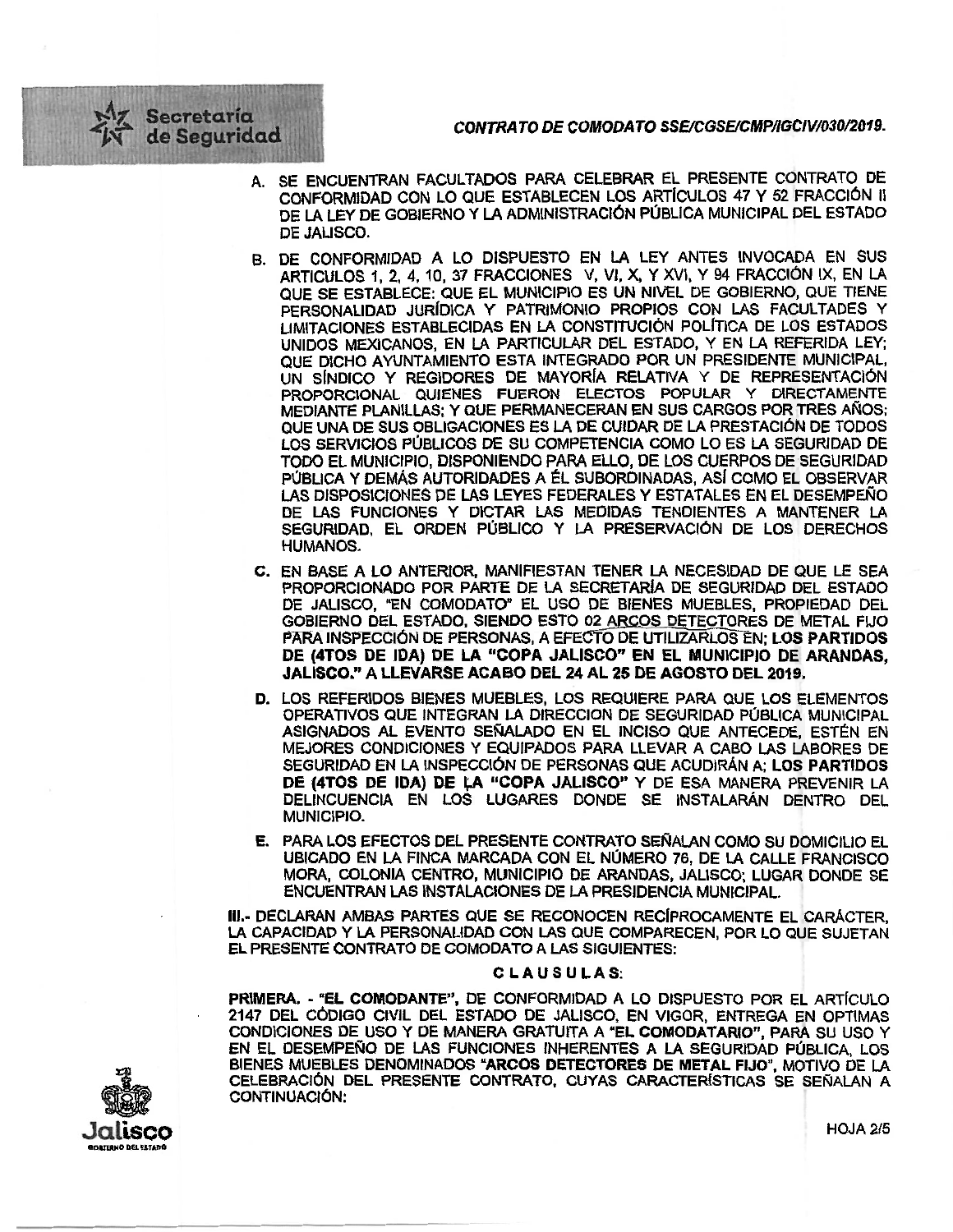*CONTRA TO DE COMODATO SSEICGSEICMPRGCIV/030/2019.* 

- Secretaria de Seguridad
	- A. SE ENCUENTRAN FACULTADOS PARA CELEBRAR EL PRESENTE CONTRATO DE CONFORMIDAD CON LO QUE ESTABLECEN LOS ARTICULO\$ 47 Y 52 FRACCIÓN II DE LA LEY DE GOBIERNO Y LA ADMINISTRACIÓN PÚBLICA MUNICIPAL DEL ESTADO DE JALISCO.
	- B. DE CONFORMIDAD A LO DISPUESTO EN LA LEY ANTES INVOCADA EN SUS ARTICULO\$ 1, 2, 4, 10, 37 FRACCIONES V, VI, X, Y XVI, Y 94 FRACCIÓN IX, EN LA QUE SE ESTABLECE: QUE EL MUNICIPIO ES UN NIVEL DE GOBIERNO, QUE TIENE PERSONALIDAD JURiDICA Y PATRIMONIO PROPIOS CON LAS FACULTADES Y LIMITACIONES ESTABLECIDAS EN LA CONSTITUCIÓN POLITICA DE LOS ESTADOS UNIDOS MEXICANOS, EN LA PARTICULAR DEL ESTADO, Y EN LA REFERIDA LEY; QUE DICHO AYUNTAMIENTO ESTA INTEGRADO POR UN PRESIDENTE MUNICIPAL, UN SINDICO Y REGIDORES DE MAYORIA RELATIVA Y DE REPRESENTACIÓN PROPORCIONAL QUIENES FUERON ELECTOS POPULAR Y DIRECTAMENTE MEDIANTE PLANILLAS; Y QUE PERMANECERAN EN SUS CARGOS POR TRES AÑOS; QUE UNA DE SUS OBLIGACIONES ES LA DE CUIDAR DE LA PRESTACIÓN DE TODOS LOS SERVICIOS PÚBLICOS DE SU COMPETENCIA COMO LO ES LA SEGURIDAD DE TODO El MUNICIPIO, DISPONIENDO PARA ELLO, DE LOS CUERPOS DE SEGURIDAD PÚBLICA Y DEMÁS AUTORIDADES A ÉL SUBORDINADAS, ASÍ COMO EL OBSERVAR LAS DISPOSICIONES DE LAS LEYES FEDERALES Y ESTATALES EN EL DESEMPEÑO DE LAS FUNCIONES Y DICTAR LAS MEDIDAS TENDIENTES A MANTENER LA SEGURIDAD, EL ORDEN PÚBLICO Y LA PRESERVACIÓN DE LOS DERECHOS HUMANOS.
	- C. EN BASE A LO ANTERIOR, MANIFIESTAN TENER LA NECESIDAD DE QUE LE SEA PROPORCIONADO POR PARTE DE LA SECRETARIA DE SEGURIDAD DEL ESTADO DE JALISCO, "EN COMODATO" EL USO DE BIENES MUEBLES, PROPIEDAD DEL GOBIERNO DEL ESTADO, SIENDO ESTO 02 ARCOS DETECTORES DE METAL FIJO PAAA INSPECCIÓN DE PERSONAS, A EFEC'FO DE UTILIZARLOSEN: LOS PARTIDOS DE (4TOS DE IDA) DE LA "COPA JALISCO" EN EL MUNICIPIO DE ARANDAS, JALISCO." A LLEVARSE ACABO DEL 24 AL 25 DE AGOSTO DEL 2019.
	- D. LOS REFERIDOS BIENES MUEBLES, LOS REQUIERE PARA QUE LOS ELEMENTOS OPERATIVOS QUE INTEGRAN LA DIRECCION DE SEGURIDAD PÚBLICA MUNICIPAL ASIGNADOS AL EVENTO SEÑALADO EN EL INCISO QUE ANTECEDE, ESTÉN EN MEJORES CONDICIONES Y EQUIPADOS PARA LLEVAR A CABO LAS LABORES DE SEGURIDAD EN LA INSPECCIÓN DE PERSONAS QUE ACUDIRÁN A; LOS PARTIDOS DE (4TOS DE IDA) DE LA "COPA JALISCO" Y DE ESA MANERA PREVENIR LA DELINCUENCIA EN LOS LUGARES DONDE SE INSTALARÁN DENTRO DEL MUNICIPIO.
	- E. PARA LOS EFECTOS DEL PRESENTE CONTRATO SEÑALAN COMO SU DOMICILIO EL UBICADO EN LA FINCA MARCADA CON EL NÚMERO 76, DE LA CALLE FRANCISCO MORA, COLONIA CENTRO, MUNICIPIO DE ARANDAS, JALISCO; LUGAR DONDE SE ENCUENTRAN LAS INSTALACIONES DE LA PRESIDENCIA MUNICIPAL.

111.· DECLARAN AMBAS PARTES QUE SE RECONOCEN RECÍPROCAMENTE EL CARÁCTER, LA CAPACIDAD Y LA PERSONAUDAD CON LAS QUE COMPARECEN, POR LO QUE SUJETAN EL PRESENTE CONTRATO DE COMODATO A LAS SIGUIENTES:

## CLAUSULAS:

PRIMERA. - "EL COMODANTE", DE CONFORMIDAD A LO DISPUESTO POR EL ARTÍCULO 2147 DEL CÓDIGO CIVIL DEL ESTADO DE JALISCO, EN VIGOR, ENTREGA EN OPTIMAS CONDICIONES DE USO Y DE MANERA GRATUITA A "EL COMODATARIO", PARA SU USO Y EN EL DESEMPEÑO DE LAS FUNCIONES INHERENTES A LA SEGURIDAD PÚBLICA, LOS BIENES MUEBLES DENOMINADOS "ARCOS DETECTORES DE METAL FIJO", MOTIVO DE LA CELEBRACIÓN DEL PRESENTE CONTRATO, CUYAS CARACTERfSTICAS SE SEÑALAN A CONTINUACIÓN:

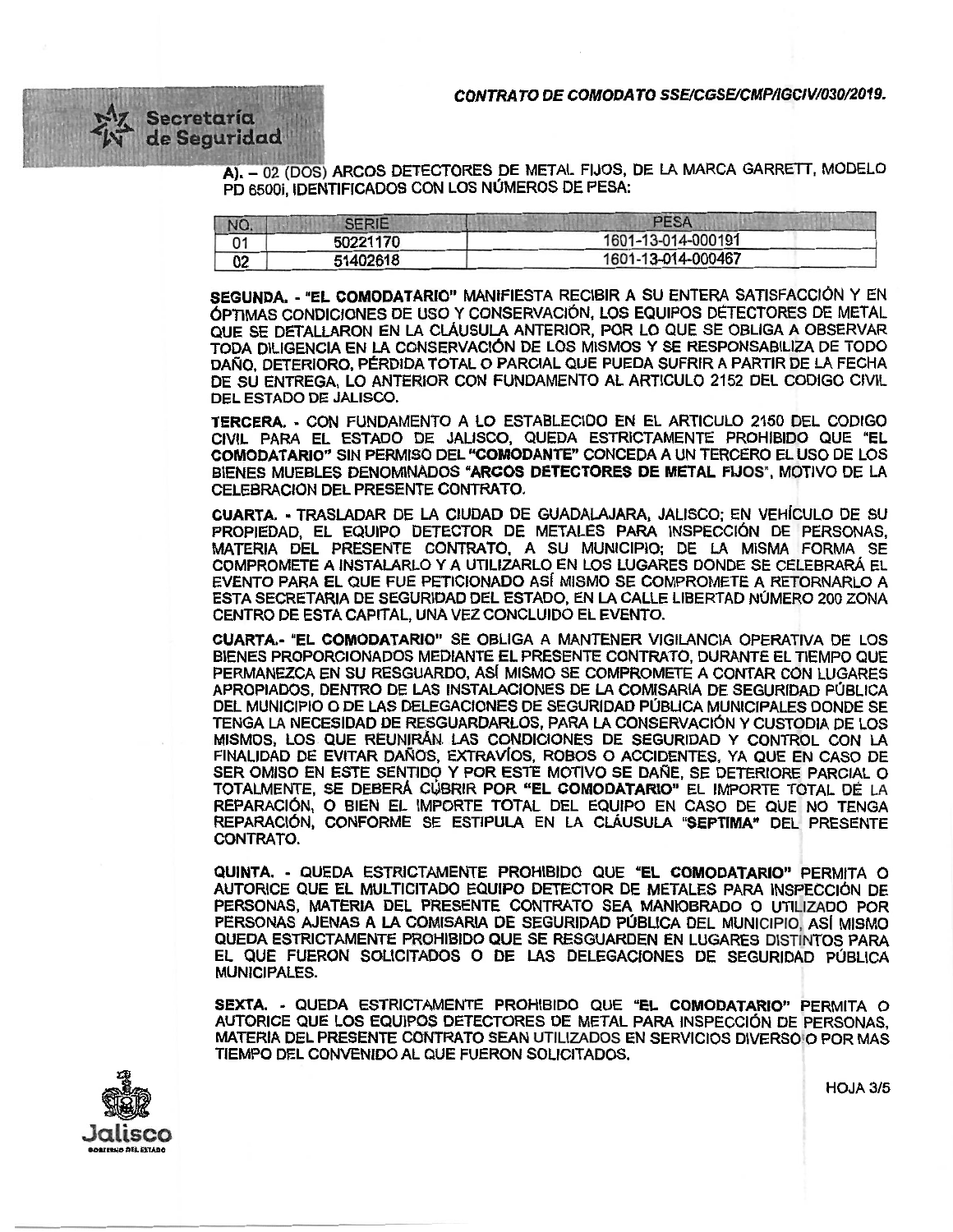CONTRATO DE COMODATO SSE/CGSE/CMP/IGCIV/030/2019.



A). – 02 (DOS) ARCOS DETECTORES DE METAL FIJOS, DE LA MARCA GARRETT, MODELO PD 65001, IDENTIFICADOS CON LOS NÚMEROS DE PESA:

| NO. | <b>SERIE</b> | <b>PESA</b>        |  |
|-----|--------------|--------------------|--|
| 01  | 50221170     | 1601-13-014-000191 |  |
| 02  | 51402618     | 1601-13-014-000467 |  |

SEGUNDA. - "EL COMODATARIO" MANIFIESTA RECIBIR A SU ENTERA SATISFACCIÓN Y EN OPTIMAS CONDICIONES DE USO Y CONSERVACIÓN, LOS EQUIPOS DETECTORES DE META<sup>L</sup> QUE SE DETALLARON EN LA CLÁUSULA ANTERIOR, POR LO QUE SE OBLIGA A OBSERVA<sup>R</sup> TODA DILIGENCIA EN LA CONSERVACIÓN DE LOS MISMOS Y SE RESPONSABILIZA DE TODO <sup>D</sup>AÑO, DETERIORO, PÉRDIDA TOTAL O PARCIAL QUE PUEDA SUFRIR A PARTIR DE LA FECH<sup>A</sup> DE SU ENTREGA, LO ANTERIOR CON FUNDAMENTO AL ARTICULO 2152 DEL CODIGO CIVIL DEL ESTADO DE JALISCO.

TERCERA. - CON FUNDAMENTO A LO ESTABLECIDO EN EL ARTICULO 2150 DEL CODIGO CIVIL PARA EL ESTADO DE JALISCO, QUEDA ESTRICTAMENTE PROHIBIDO QUE "EL COMODATARIO" SIN PERMISO DEL "COMODANTE" CONCEDA A UN TERCERO EL USO DE LOS BIENES MUEBLES DENOMINADOS "ARCOS DETECTORES DE METAL FIJOS", MOTIVO DE LA CELEBRACION DEL PRESENTE CONTRATO.

CUARTA. - TRASLADAR DE LA CIUDAD DE GUADALAJARA, JALISCO: EN VEHÍCULO DE SU <sup>P</sup>ROPIEDAD, EL EQUIPO DETECTOR DE METALES PARA INSPECCIÓN DE PERSONAS, MATERIA DEL PRESENTE CONTRATO, A SU MUNICIPIO; DE LA MISMA FORMA SE COMPROMETE A INSTALARLO Y A UTILIZARLO EN LOS LUGARES DONDE SE CELEBRARÁ EL EVENTO PARA EL QUE FUE PETICIONADO ASI MISMO se COMPROMETE A RETORNARLO A <sup>E</sup>STA SECRETARIA DE SEGURIDAD DEL ESTADO, EN LA CALLE LIBERTAD NÚMERO 200 ZON<sup>A</sup> CENTRO DE ESTA CAPITAL, UNA VEZ CONCLUIDO EL EVENTO.

CUARTA.- ''EL COMODATARIO" SE OBLIGA A MANTENER VIGILANCIA OPERATIVA DE LOS BIENES PROPORCIONADOS MEDIANTE EL PRESENTE CONTRATO, DURANTE EL TIEMPO QUE PERMANEZCA EN SU RESGUARDO, AS( MISMO SE COMPROMETE A CONTAR CON LUGARES <sup>A</sup>PROPIADOS, DENTRO DE LAS INSTALACIONES DE LA COMISARIA DE SEGURIDAD PÚBLIC<sup>A</sup> DEL MUNICIPIO O DE LAS DELEGACIONES DE SEGURIDAD PÚBLICA MUNICIPALES DONDE SE TENGA LA NECESIDAD DE RESGUARDARLOS, PARA LA CONSERVACIÓN Y CUSTODIA DE LOS <sup>M</sup>ISMOS, LOS QUE REUNIRÁN. LAS CONDICIONES DE SEGURIDAD Y CONTROL CON LA <sup>F</sup>INALIDAD DE EVITAR DAÑOS, EXTRAVÍOS, ROBOS O ACCIDENTES, YA QUE EN CASO D<sup>E</sup> SER OMISO EN ESTE SENTIDO Y POR ESTE MOTIVO SE DAÑE, SE DETERIORE PARCIAL O TOTALMENTE, SE DEBERÁ CÚBRIR POR "EL COMODATARIO" EL IMPORTE TOTAL DE LA <sup>R</sup>EPARACIÓN, O BIEN EL IMPORTE TOTAL DEL EQUIPO EN CASO DE QUE NO TENGA <sup>R</sup>EPARACIÓN, CONFORME SE ESTIPULA EN LA CLÁUSULA "SEPTIMA" DEL PRESENT<sup>E</sup> CONTRATO.

QUINTA. • QUEDA ESTRICTAMENTE PROHIBIDO QUE "EL COMODATARIO" PERMITA O AUTORICE QUE EL MULTICITADO EQUIPO DETECTOR DE METALES PARA INSPECCIÓN DE PERSONAS, MATERIA DEL PRESENTE CONTRATO SEA MANIOBRADO O UTILIZADO POR <sup>P</sup>ERSONAS AJENAS A LA COMISARIA DE SEGURIDAD PÚBLICA DEL MUNICIPIO, ASÍ MISMO QUEDA ESTRICTAMENTE PROHIBIDO QUE SE RESGUARDEN EN LUGARES DISTINTOS PARA EL QUE FUERON SOLICITADOS O DE LAS DELEGACIONES DE SEGURIDAD PÚBLICA MUNICIPALES.

SEXTA. - QUEDA ESTRICTAMENTE PROHIBIDO QUE "EL COMODATARIO" PERMITA O <sup>A</sup>UTORICE QUE LOS EQUIPOS DETECTORES DE METAL PARA INSPECCIÓN DE PERSONAS, MATERIA DEL PRESENTE CONTRATO SEAN UTILIZADOS EN SERVICIOS DIVERSOlO POR MAS TIEMPO DEL CONVENIDO AL QUE FUERON SOLICITADOS.



HOJA3/5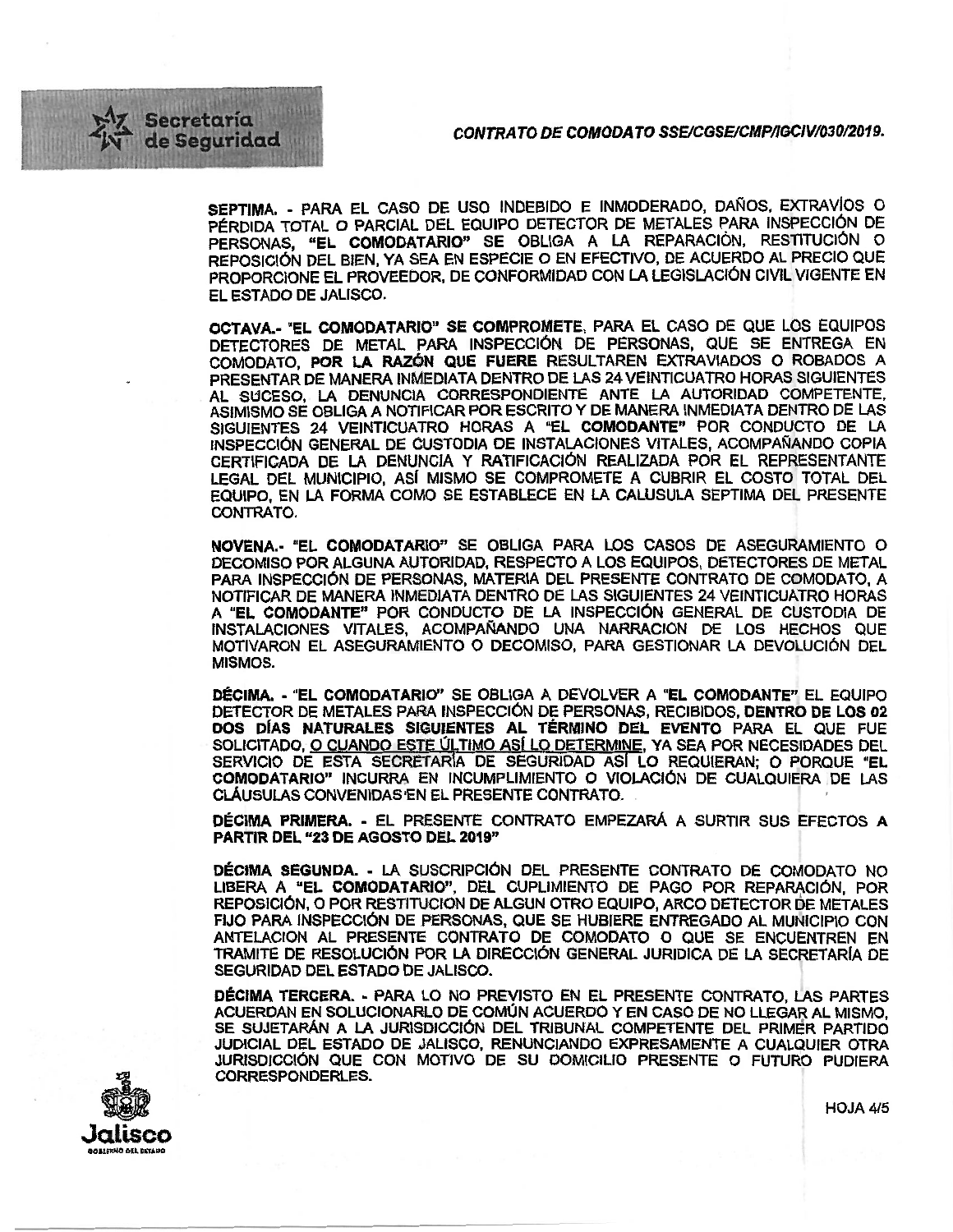## CONTRATO DE COMODATO SSE/CGSE/CMP/IGCIV/030/2019.



SEPTIMA •• PARA EL CASO DE USO INDEBIDO E INMODERADO, DAÑOS, EXTRAVIOS O PÉRDIDA TOTAL O PARCIAL DEL EQUIPO DETECTOR DE METALES PARA INSPECCIÓN DE PERSONAS, "EL COMODATARIO" SE OBLIGA A LA REPARACIÓN, RESTITUCIÓN <sup>O</sup> REPOSICIÓN DEL BIEN, YA SEA EN ESPECIE O EN EFECTIVO, DE ACUERDO AL PRECIO QU<sup>E</sup> <sup>P</sup>ROPORCIONE EL PROVEEDOR, DE CONFORMIDAD CON LA LEGISLACIÓN CIVIL VIGENTE E<sup>N</sup> EL ESTADO DE JALISCO.

OCTAVA.- "EL COMODATARIO" SE COMPROMETE, PARA EL CASO DE QUE LOS EQUIPOS <sup>D</sup>ETECTORES DE METAL PARA INSPECCIÓN DE PERSONAS, QUE SE ENTREGA E<sup>N</sup> COMODATO, POR LA RAZÓN QUE FUERE RESULTAREN EXTRAVIADOS O ROBADOS <sup>A</sup> PRESENTAR DE MANERA INMEDIATA DENTRO DE LAS 24 VEINTICUATRO HORAS SIGUIENTES AL SUCESO, LA DENUNCIA CORRESPONDIENTE ANTE LA AUTORIDAD COMPETENTE, ASIMISMO SE OBLIGA A NOTIFICAR POR ESCRITO Y DE MANERA INMEDIATA DENTRO DE LAS SIGUIENTES 24 VEINTICUATRO HORAS A "EL COMODANTE" POR CONDUCTO DE LA <sup>I</sup>NSPECCIÓN GENERAL DE CUSTODIA DE INSTALACIONES VITALES, ACOMPAÑANDO COPI<sup>A</sup> CERTIFICADA DE LA DENUNCIA Y RATIFICACIÓN REALIZADA POR EL REPRESENTANTE LEGAL DEL MUNICIPIO, AS( MISMO SE COMPROMETE A CUBRIR EL COSTO TOTAL DEL EQUIPO, EN LA FORMA COMO SE ESTABLECE EN LA CALUSULA SEPTIMA DEL PRESENTE CONTRATO.

NOVENA.· "EL COMODATARIO" SE OBLIGA PARA LOS CASOS DE ASEGURAMIENTO O DECOMISO POR ALGUNA AUTORIDAD, RESPECTO A LOS EQUIPOS, DETECTORES DE METAL <sup>P</sup>ARA INSPECCIÓN DE PERSONAS, MATERIA DEL PRESENTE CONTRATO DE COMODATO, <sup>A</sup> NOTIFICAR DE MANERA INMEDIATA DENTRO DE LAS SIGUIENTES 24 VEINTICUATRO HORAS A "EL COMODANTE" POR CONDUCTO DE LA INSPECCIÓN GENERAL DE CUSTODIA DE INSTALACIONES VITALES, ACOMPAÑANDO UNA NARRACION DE LOS HECHOS QUE <sup>M</sup>OTIVARON EL ASEGURAMlENTO O DECOMISO, PARA GESTIONAR LA DEVOLUCIÓN DE<sup>L</sup> MISMOS.

DÉCIMA. - "EL COMODATARIO" SE OBLIGA A DEVOLVER A "EL COMODANTE" EL EQUIPO <sup>D</sup>ETECTOR DE METALES PARA INSPECCIÓN DE PERSONAS, RECIBIDOS, DENTRO DE LOS 0<sup>2</sup> DOS DIAS NATURALES StGUIENTES AL TÉRMINO DEL EVENTO PARA EL QUE FUE SOLICITADO, O CUANDO ESTE ÚLTIMO ASÍ LO DETERMINE, YA SEA POR NECESIDADES DEL SERVICIO DE ESTA SECRETARÍA DE SEGURIDAD ASÍ LO REQUIERAN; O PORQUE "EL COMODATARIO" INCURAA, EN INCUMPLIMIENTO O VIOLACIÓN DE CUALQUIERA DE LAS CLÁUSULAS CONVENIDAS•EN EL PRESENTE CONTRATO.

DÉCIMA PRIMERA. • EL PRESENTE CONTRATO EMPEZARÁ A SURTIR SUS EFECTOS A PARTIR DEL "23 DE AGOSTO DEL 2019"

DÉCIMA SEGUNDA. - LA SUSCRIPCIÓN DEL PRESENTE CONTRATO DE COMODATO NO <sup>L</sup>IBERA A "EL COMODATARIO". DEL CUPLIMIENTO DE PAGO POR REPARACIÓN, PO<sup>R</sup> REPOSIC1ÓN, O POR RESTITUCION DE ALGUN OTRO EQUIPO, ARCO DETECTOR DE METALES <sup>F</sup>IJO PARA INSPECCIÓN DE PERSONAS, QUE SE HUBIERE ENTREGADO AL MUNICIPIO CO<sup>N</sup> ANTELACION AL PRESENTE CONTRATO DE COMODATO O QUE SE ENCUENTREN EN TRAMITE DE RESOLUCIÓN POR LA DIRECCIÓN GENERAL JURIDICA DE LA SECRETARÍA DE SEGURIDAD DEL ESTADO DE JALISCO.

<sup>D</sup>ÉCIMA TERCERA.· PARA LO NO PREVISTO EN EL PRESENTE CONTRATO, LAS PARTES <sup>A</sup>CUERDAN EN SOLUCIONARLO DE COMÚN ACUeRDO Y EN CASO DE NO LLEGAR AL MISMO, SE SUJETARAN A LA JURISDICCIÓN DEL TRIBUNAL COMPETENTE DEL PRIMÉR PARTIDO JUDICIAL DEL ESTADO DE JALISCO, RENUNCIANDO EXPRESAMENTE A CUALQUIER OTRA JURISDICCIÓN QUE CON MOTIVO DE SU DOMICILIO PRESENTE O FUTURO PUDIERA CORRESPONDERLES.